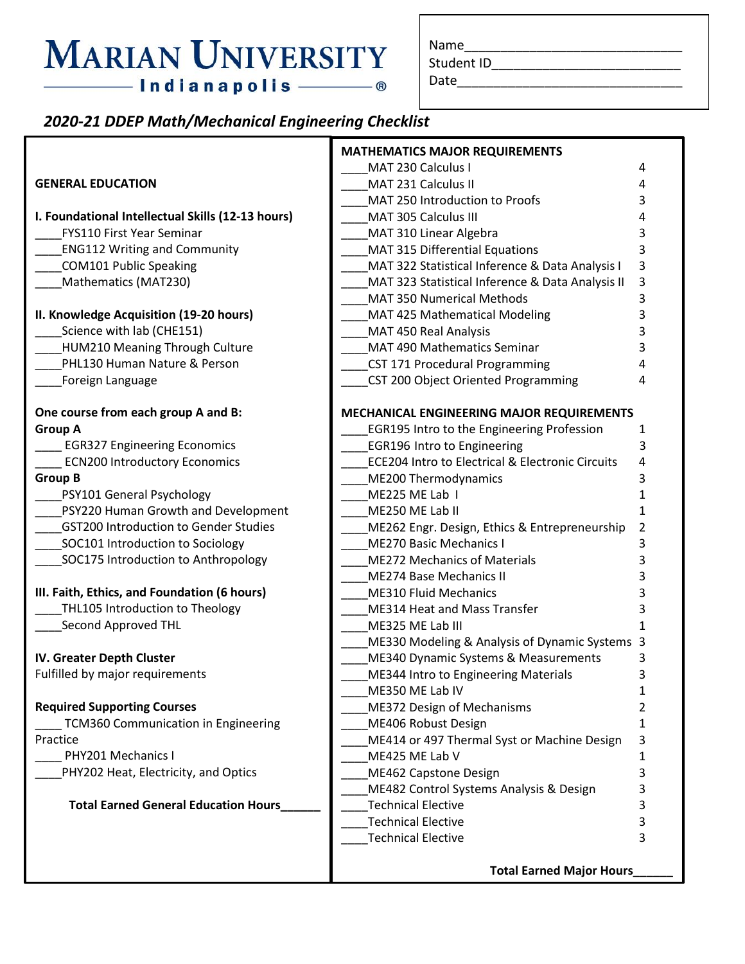# **MARIAN UNIVERSITY**  $-$ Indianapolis $-$

Name\_\_\_\_\_\_\_\_\_\_\_\_\_\_\_\_\_\_\_\_\_\_\_\_\_\_\_\_\_\_

Student ID\_\_\_\_\_\_\_\_\_\_\_\_\_\_\_\_\_\_\_\_\_\_\_\_\_\_

Date\_\_\_\_\_\_\_\_\_\_\_\_\_\_\_\_\_\_\_\_\_\_\_\_\_\_\_\_\_\_\_

#### *2020-21 DDEP Math/Mechanical Engineering Checklist*

|                                                   | <b>MATHEMATICS MAJOR REQUIREMENTS</b>                       |    |  |
|---------------------------------------------------|-------------------------------------------------------------|----|--|
|                                                   | MAT 230 Calculus I                                          | 4  |  |
| <b>GENERAL EDUCATION</b>                          | MAT 231 Calculus II                                         | 4  |  |
|                                                   | MAT 250 Introduction to Proofs                              | 3  |  |
| I. Foundational Intellectual Skills (12-13 hours) | MAT 305 Calculus III                                        | 4  |  |
| <b>FYS110 First Year Seminar</b>                  | MAT 310 Linear Algebra                                      | 3  |  |
| <b>ENG112 Writing and Community</b>               | <b>MAT 315 Differential Equations</b>                       | 3  |  |
| <b>COM101 Public Speaking</b>                     | MAT 322 Statistical Inference & Data Analysis I             | 3  |  |
| Mathematics (MAT230)                              | MAT 323 Statistical Inference & Data Analysis II            | 3  |  |
|                                                   | <b>MAT 350 Numerical Methods</b>                            | 3  |  |
| II. Knowledge Acquisition (19-20 hours)           | MAT 425 Mathematical Modeling                               | 3  |  |
| Science with lab (CHE151)                         | MAT 450 Real Analysis                                       | 3  |  |
| HUM210 Meaning Through Culture                    | MAT 490 Mathematics Seminar                                 | 3  |  |
| PHL130 Human Nature & Person                      | <b>CST 171 Procedural Programming</b>                       | 4  |  |
| Foreign Language                                  | CST 200 Object Oriented Programming                         | 4  |  |
| One course from each group A and B:               | <b>MECHANICAL ENGINEERING MAJOR REQUIREMENTS</b>            |    |  |
| <b>Group A</b>                                    | <b>EGR195 Intro to the Engineering Profession</b>           | 1  |  |
| <b>EGR327 Engineering Economics</b>               | <b>EGR196 Intro to Engineering</b>                          | 3  |  |
| <b>ECN200 Introductory Economics</b>              | <b>ECE204 Intro to Electrical &amp; Electronic Circuits</b> | 4  |  |
| <b>Group B</b>                                    | ME200 Thermodynamics                                        | 3  |  |
| PSY101 General Psychology                         | ME225 ME Lab I                                              | 1  |  |
| PSY220 Human Growth and Development               | ME250 ME Lab II                                             | 1  |  |
| <b>GST200 Introduction to Gender Studies</b>      | ME262 Engr. Design, Ethics & Entrepreneurship               | 2  |  |
| SOC101 Introduction to Sociology                  | <b>ME270 Basic Mechanics I</b>                              | 3  |  |
| SOC175 Introduction to Anthropology               | <b>ME272 Mechanics of Materials</b>                         | 3  |  |
|                                                   | <b>ME274 Base Mechanics II</b>                              | 3  |  |
| III. Faith, Ethics, and Foundation (6 hours)      | <b>ME310 Fluid Mechanics</b>                                | 3  |  |
| THL105 Introduction to Theology                   | ME314 Heat and Mass Transfer                                | 3  |  |
| Second Approved THL                               | ME325 ME Lab III                                            |    |  |
|                                                   | ME330 Modeling & Analysis of Dynamic Systems                | -3 |  |
| IV. Greater Depth Cluster                         | ME340 Dynamic Systems & Measurements                        | 3  |  |
| Fulfilled by major requirements                   | ME344 Intro to Engineering Materials                        | 3  |  |
|                                                   | ME350 ME Lab IV                                             | 1  |  |
| <b>Required Supporting Courses</b>                | ME372 Design of Mechanisms                                  | 2  |  |
| TCM360 Communication in Engineering               | ME406 Robust Design                                         | 1  |  |
| Practice                                          | ME414 or 497 Thermal Syst or Machine Design                 | 3  |  |
| PHY201 Mechanics I                                | ME425 ME Lab V                                              | 1  |  |
| PHY202 Heat, Electricity, and Optics              | ME462 Capstone Design                                       | 3  |  |
|                                                   | ME482 Control Systems Analysis & Design                     | 3  |  |
| <b>Total Earned General Education Hours</b>       | <b>Technical Elective</b>                                   | 3  |  |
|                                                   | <b>Technical Elective</b>                                   | 3  |  |
|                                                   | <b>Technical Elective</b>                                   | 3  |  |
|                                                   | <b>Total Earned Major Hours</b>                             |    |  |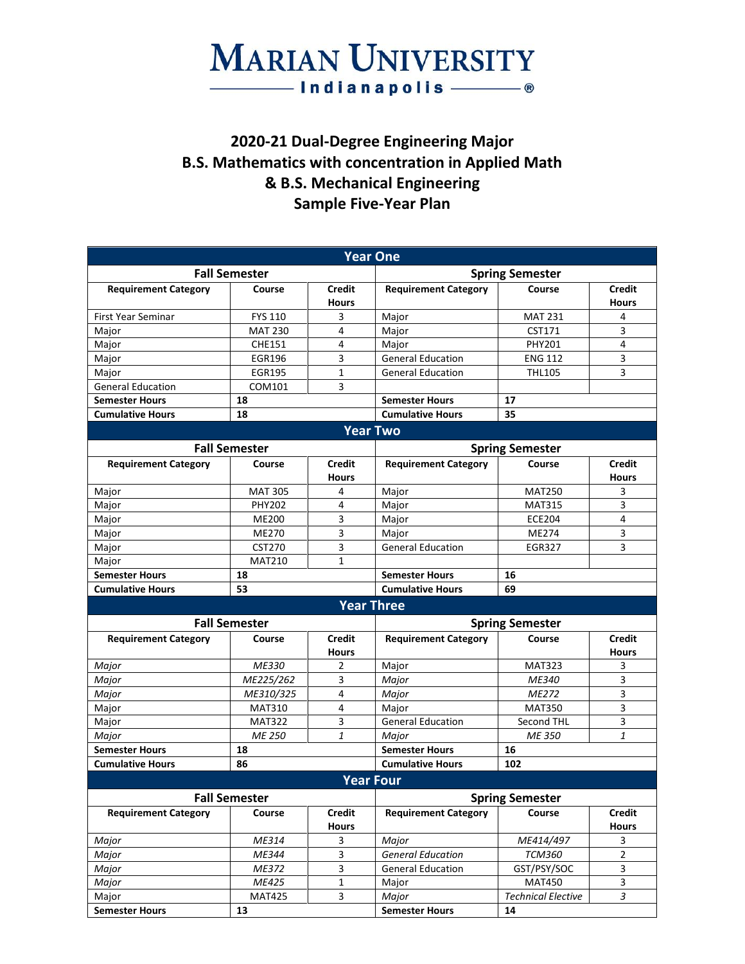### **MARIAN UNIVERSITY** ──Indianapolis ────®

#### **2020-21 Dual-Degree Engineering Major B.S. Mathematics with concentration in Applied Math & B.S. Mechanical Engineering Sample Five-Year Plan**

|                             |                      |                               | <b>Year One</b>             |                           |                               |  |
|-----------------------------|----------------------|-------------------------------|-----------------------------|---------------------------|-------------------------------|--|
| <b>Fall Semester</b>        |                      | <b>Spring Semester</b>        |                             |                           |                               |  |
| <b>Requirement Category</b> | Course               | Credit<br><b>Hours</b>        | <b>Requirement Category</b> | Course                    | <b>Credit</b><br><b>Hours</b> |  |
| <b>First Year Seminar</b>   | <b>FYS 110</b>       | 3                             | Major                       | <b>MAT 231</b>            | 4                             |  |
| Major                       | <b>MAT 230</b>       | 4                             | Major                       | CST171                    | 3                             |  |
| Major                       | <b>CHE151</b>        | 4                             | Major                       | <b>PHY201</b>             | 4                             |  |
| Major                       | <b>EGR196</b>        | 3                             | <b>General Education</b>    | <b>ENG 112</b>            | 3                             |  |
| Major                       | <b>EGR195</b>        | $\mathbf{1}$                  | <b>General Education</b>    | <b>THL105</b>             | 3                             |  |
| <b>General Education</b>    | COM101               | 3                             |                             |                           |                               |  |
| <b>Semester Hours</b>       | 18                   |                               | <b>Semester Hours</b>       | 17                        |                               |  |
| <b>Cumulative Hours</b>     | 18                   |                               | <b>Cumulative Hours</b>     | 35                        |                               |  |
| <b>Year Two</b>             |                      |                               |                             |                           |                               |  |
|                             | <b>Fall Semester</b> |                               |                             | <b>Spring Semester</b>    |                               |  |
| <b>Requirement Category</b> | Course               | <b>Credit</b>                 | <b>Requirement Category</b> | Course                    | <b>Credit</b>                 |  |
|                             |                      | <b>Hours</b>                  |                             |                           | <b>Hours</b>                  |  |
| Major                       | <b>MAT 305</b>       | 4                             | Major                       | <b>MAT250</b>             | 3                             |  |
| Major                       | <b>PHY202</b>        | 4                             | Major                       | <b>MAT315</b>             | 3                             |  |
| Major                       | <b>ME200</b>         | 3                             | Major                       | <b>ECE204</b>             | 4                             |  |
| Major                       | ME270                | 3                             | Major                       | ME274                     | 3                             |  |
| Major                       | <b>CST270</b>        | 3                             | <b>General Education</b>    | <b>EGR327</b>             | 3                             |  |
| Major                       | <b>MAT210</b>        | $\mathbf{1}$                  |                             |                           |                               |  |
| <b>Semester Hours</b>       | 18                   |                               | <b>Semester Hours</b>       | 16                        |                               |  |
| <b>Cumulative Hours</b>     | 53                   |                               | <b>Cumulative Hours</b>     | 69                        |                               |  |
|                             |                      |                               | <b>Year Three</b>           |                           |                               |  |
| <b>Fall Semester</b>        |                      | <b>Spring Semester</b>        |                             |                           |                               |  |
| <b>Requirement Category</b> | Course               | <b>Credit</b><br><b>Hours</b> | <b>Requirement Category</b> | Course                    | <b>Credit</b><br><b>Hours</b> |  |
| Major                       | ME330                | 2                             | Major                       | <b>MAT323</b>             | 3                             |  |
| Major                       | ME225/262            | 3                             | Major                       | ME340                     | 3                             |  |
| Major                       | ME310/325            | 4                             | Major                       | ME272                     | 3                             |  |
| Major                       | <b>MAT310</b>        | 4                             | Major                       | <b>MAT350</b>             | 3                             |  |
| Major                       | <b>MAT322</b>        | 3                             | <b>General Education</b>    | Second THL                | 3                             |  |
| Major                       | <b>ME 250</b>        | $\mathbf{1}$                  | Major                       | ME 350                    | 1                             |  |
| <b>Semester Hours</b>       | 18                   |                               | <b>Semester Hours</b>       | 16                        |                               |  |
| <b>Cumulative Hours</b>     | 86                   |                               | <b>Cumulative Hours</b>     | 102                       |                               |  |
|                             |                      |                               | <b>Year Four</b>            |                           |                               |  |
| <b>Fall Semester</b>        |                      | <b>Spring Semester</b>        |                             |                           |                               |  |
| <b>Requirement Category</b> | Course               | <b>Credit</b><br><b>Hours</b> | <b>Requirement Category</b> | Course                    | <b>Credit</b><br><b>Hours</b> |  |
| Major                       | ME314                | 3                             | Major                       | ME414/497                 | 3                             |  |
| Major                       | ME344                | 3                             | <b>General Education</b>    | <b>TCM360</b>             | 2                             |  |
| Major                       | ME372                | 3                             | <b>General Education</b>    | GST/PSY/SOC               | 3                             |  |
| Major                       | ME425                | 1                             | Major                       | <b>MAT450</b>             | 3                             |  |
| Major                       | <b>MAT425</b>        | 3                             | Major                       | <b>Technical Elective</b> | 3                             |  |
| <b>Semester Hours</b>       | 13                   |                               | <b>Semester Hours</b>       | 14                        |                               |  |